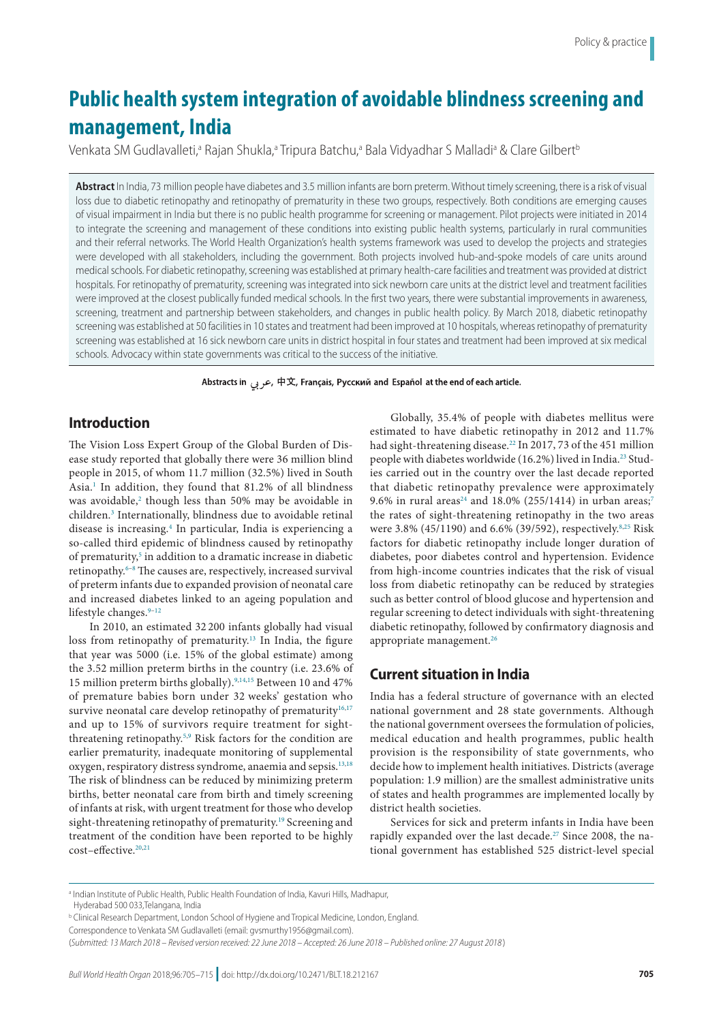# **Public health system integration of avoidable blindness screening and management, India**

Venkata SM Gudlavalleti,ª Rajan Shukla,ª Tripura Batchu,ª Bala Vidyadhar S Malladiª & Clare Gilbert<sup>t</sup>

**Abstract** In India, 73 million people have diabetes and 3.5 million infants are born preterm. Without timely screening, there is a risk of visual loss due to diabetic retinopathy and retinopathy of prematurity in these two groups, respectively. Both conditions are emerging causes of visual impairment in India but there is no public health programme for screening or management. Pilot projects were initiated in 2014 to integrate the screening and management of these conditions into existing public health systems, particularly in rural communities and their referral networks. The World Health Organization's health systems framework was used to develop the projects and strategies were developed with all stakeholders, including the government. Both projects involved hub-and-spoke models of care units around medical schools. For diabetic retinopathy, screening was established at primary health-care facilities and treatment was provided at district hospitals. For retinopathy of prematurity, screening was integrated into sick newborn care units at the district level and treatment facilities were improved at the closest publically funded medical schools. In the first two years, there were substantial improvements in awareness, screening, treatment and partnership between stakeholders, and changes in public health policy. By March 2018, diabetic retinopathy screening was established at 50 facilities in 10 states and treatment had been improved at 10 hospitals, whereas retinopathy of prematurity screening was established at 16 sick newborn care units in district hospital in four states and treatment had been improved at six medical schools. Advocacy within state governments was critical to the success of the initiative.

Abstracts in هربى, 中文, Français, Русский and Español at the end of each article.

# **Introduction**

The Vision Loss Expert Group of the Global Burden of Disease study reported that globally there were 36 million blind people in 2015, of whom 11.7 million (32.5%) lived in South Asia.<sup>1</sup> In addition, they found that 81.2% of all blindness was avoidable,<sup>[2](#page-9-1)</sup> though less than 50% may be avoidable in children[.3](#page-9-2) Internationally, blindness due to avoidable retinal disease is increasing.[4](#page-9-3) In particular, India is experiencing a so-called third epidemic of blindness caused by retinopathy of prematurity,<sup>5</sup> in addition to a dramatic increase in diabetic retinopathy.<sup>6–[8](#page-9-6)</sup> The causes are, respectively, increased survival of preterm infants due to expanded provision of neonatal care and increased diabetes linked to an ageing population and lifestyle changes.<sup>[9](#page-9-7)-12</sup>

In 2010, an estimated 32 200 infants globally had visual loss from retinopathy of prematurity.<sup>13</sup> In India, the figure that year was 5000 (i.e. 15% of the global estimate) among the 3.52 million preterm births in the country (i.e. 23.6% of 15 million preterm births globally).[9,](#page-9-7)[14](#page-9-10),[15](#page-9-11) Between 10 and 47% of premature babies born under 32 weeks' gestation who survive neonatal care develop retinopathy of prematurity $16,17$  $16,17$ and up to 15% of survivors require treatment for sightthreatening retinopathy.[5,](#page-9-4)[9](#page-9-7) Risk factors for the condition are earlier prematurity, inadequate monitoring of supplemental oxygen, respiratory distress syndrome, anaemia and sepsis.[13](#page-9-9)[,18](#page-9-14) The risk of blindness can be reduced by minimizing preterm births, better neonatal care from birth and timely screening of infants at risk, with urgent treatment for those who develop sight-threatening retinopathy of prematurity.<sup>[19](#page-9-15)</sup> Screening and treatment of the condition have been reported to be highly cost–effective.<sup>20[,21](#page-10-1)</sup>

Globally, 35.4% of people with diabetes mellitus were estimated to have diabetic retinopathy in 2012 and 11.7% had sight-threatening disease.<sup>22</sup> In 2017, 73 of the 451 million people with diabetes worldwide (16.2%) lived in India.[23](#page-10-3) Studies carried out in the country over the last decade reported that diabetic retinopathy prevalence were approximately 9.6% in rural areas<sup>24</sup> and 18.0% (255/1414) in urban areas;<sup>[7](#page-9-16)</sup> the rates of sight-threatening retinopathy in the two areas were 3.8% (45/1190) and 6.6% (39/592), respectively.<sup>[8,](#page-9-6)[25](#page-10-5)</sup> Risk factors for diabetic retinopathy include longer duration of diabetes, poor diabetes control and hypertension. Evidence from high-income countries indicates that the risk of visual loss from diabetic retinopathy can be reduced by strategies such as better control of blood glucose and hypertension and regular screening to detect individuals with sight-threatening diabetic retinopathy, followed by confirmatory diagnosis and appropriate management.<sup>26</sup>

# **Current situation in India**

India has a federal structure of governance with an elected national government and 28 state governments. Although the national government oversees the formulation of policies, medical education and health programmes, public health provision is the responsibility of state governments, who decide how to implement health initiatives. Districts (average population: 1.9 million) are the smallest administrative units of states and health programmes are implemented locally by district health societies.

Services for sick and preterm infants in India have been rapidly expanded over the last decade.<sup>27</sup> Since 2008, the national government has established 525 district-level special

a Indian Institute of Public Health, Public Health Foundation of India, Kavuri Hills, Madhapur,

Hyderabad 500 033,Telangana, India

b Clinical Research Department, London School of Hygiene and Tropical Medicine, London, England.

Correspondence to Venkata SM Gudlavalleti (email: gvsmurthy1956@gmail.com).

<sup>(</sup>*Submitted: 13 March 2018 – Revised version received: 22 June 2018 – Accepted: 26 June 2018 – Published online: 27 August 2018* )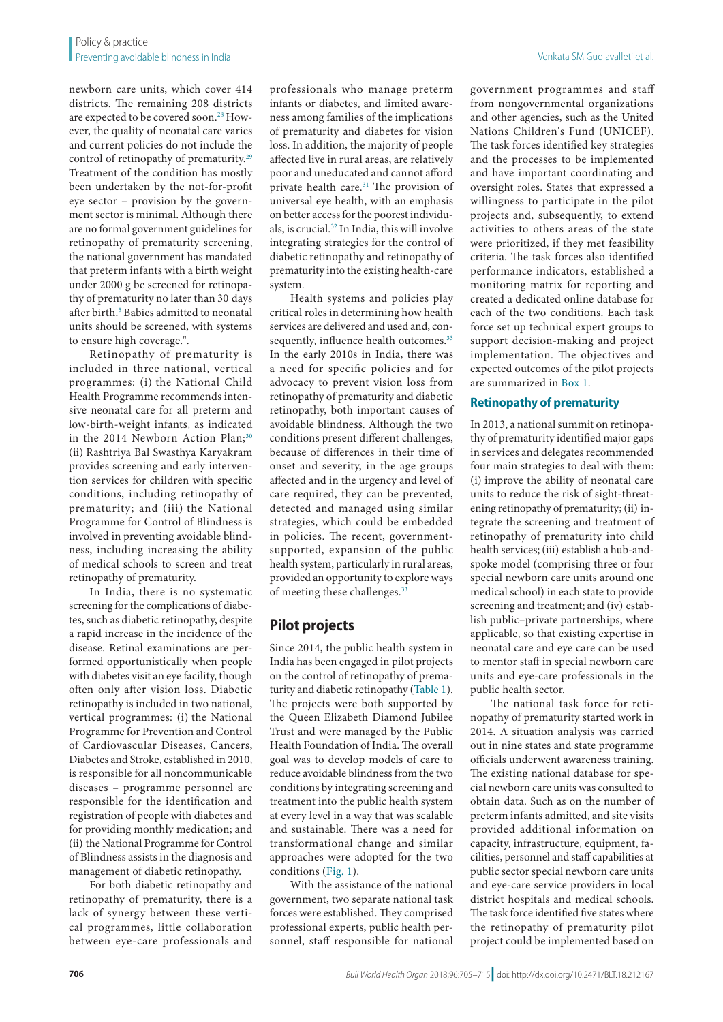newborn care units, which cover 414 districts. The remaining 208 districts are expected to be covered soon.<sup>[28](#page-10-8)</sup> However, the quality of neonatal care varies and current policies do not include the control of retinopathy of prematurity.<sup>[29](#page-10-9)</sup> Treatment of the condition has mostly been undertaken by the not-for-profit eye sector – provision by the government sector is minimal. Although there are no formal government guidelines for retinopathy of prematurity screening, the national government has mandated that preterm infants with a birth weight under 2000 g be screened for retinopathy of prematurity no later than 30 days after birth.<sup>5</sup> Babies admitted to neonatal units should be screened, with systems to ensure high coverage.".

Retinopathy of prematurity is included in three national, vertical programmes: (i) the National Child Health Programme recommends intensive neonatal care for all preterm and low-birth-weight infants, as indicated in the 2014 Newborn Action Plan; $30$ (ii) Rashtriya Bal Swasthya Karyakram provides screening and early intervention services for children with specific conditions, including retinopathy of prematurity; and (iii) the National Programme for Control of Blindness is involved in preventing avoidable blindness, including increasing the ability of medical schools to screen and treat retinopathy of prematurity.

In India, there is no systematic screening for the complications of diabetes, such as diabetic retinopathy, despite a rapid increase in the incidence of the disease. Retinal examinations are performed opportunistically when people with diabetes visit an eye facility, though often only after vision loss. Diabetic retinopathy is included in two national, vertical programmes: (i) the National Programme for Prevention and Control of Cardiovascular Diseases, Cancers, Diabetes and Stroke, established in 2010, is responsible for all noncommunicable diseases – programme personnel are responsible for the identification and registration of people with diabetes and for providing monthly medication; and (ii) the National Programme for Control of Blindness assists in the diagnosis and management of diabetic retinopathy.

For both diabetic retinopathy and retinopathy of prematurity, there is a lack of synergy between these vertical programmes, little collaboration between eye-care professionals and

professionals who manage preterm infants or diabetes, and limited awareness among families of the implications of prematurity and diabetes for vision loss. In addition, the majority of people affected live in rural areas, are relatively poor and uneducated and cannot afford private health care.<sup>[31](#page-10-11)</sup> The provision of universal eye health, with an emphasis on better access for the poorest individuals, is crucial[.32](#page-10-12) In India, this will involve integrating strategies for the control of diabetic retinopathy and retinopathy of prematurity into the existing health-care system.

Health systems and policies play critical roles in determining how health services are delivered and used and, con-sequently, influence health outcomes.<sup>[33](#page-10-13)</sup> In the early 2010s in India, there was a need for specific policies and for advocacy to prevent vision loss from retinopathy of prematurity and diabetic retinopathy, both important causes of avoidable blindness. Although the two conditions present different challenges, because of differences in their time of onset and severity, in the age groups affected and in the urgency and level of care required, they can be prevented, detected and managed using similar strategies, which could be embedded in policies. The recent, governmentsupported, expansion of the public health system, particularly in rural areas, provided an opportunity to explore ways of meeting these challenges.[33](#page-10-13)

# **Pilot projects**

Since 2014, the public health system in India has been engaged in pilot projects on the control of retinopathy of prematurity and diabetic retinopathy ([Table](#page-2-0) 1). The projects were both supported by the Queen Elizabeth Diamond Jubilee Trust and were managed by the Public Health Foundation of India. The overall goal was to develop models of care to reduce avoidable blindness from the two conditions by integrating screening and treatment into the public health system at every level in a way that was scalable and sustainable. There was a need for transformational change and similar approaches were adopted for the two conditions ([Fig.](#page-3-0) 1).

With the assistance of the national government, two separate national task forces were established. They comprised professional experts, public health personnel, staff responsible for national

government programmes and staff from nongovernmental organizations and other agencies, such as the United Nations Children's Fund (UNICEF). The task forces identified key strategies and the processes to be implemented and have important coordinating and oversight roles. States that expressed a willingness to participate in the pilot projects and, subsequently, to extend activities to others areas of the state were prioritized, if they met feasibility criteria. The task forces also identified performance indicators, established a monitoring matrix for reporting and created a dedicated online database for each of the two conditions. Each task force set up technical expert groups to support decision-making and project implementation. The objectives and expected outcomes of the pilot projects are summarized in [Box](#page-4-0) 1.

### **Retinopathy of prematurity**

In 2013, a national summit on retinopathy of prematurity identified major gaps in services and delegates recommended four main strategies to deal with them: (i) improve the ability of neonatal care units to reduce the risk of sight-threatening retinopathy of prematurity; (ii) integrate the screening and treatment of retinopathy of prematurity into child health services; (iii) establish a hub-andspoke model (comprising three or four special newborn care units around one medical school) in each state to provide screening and treatment; and (iv) establish public–private partnerships, where applicable, so that existing expertise in neonatal care and eye care can be used to mentor staff in special newborn care units and eye-care professionals in the public health sector.

The national task force for retinopathy of prematurity started work in 2014. A situation analysis was carried out in nine states and state programme officials underwent awareness training. The existing national database for special newborn care units was consulted to obtain data. Such as on the number of preterm infants admitted, and site visits provided additional information on capacity, infrastructure, equipment, facilities, personnel and staff capabilities at public sector special newborn care units and eye-care service providers in local district hospitals and medical schools. The task force identified five states where the retinopathy of prematurity pilot project could be implemented based on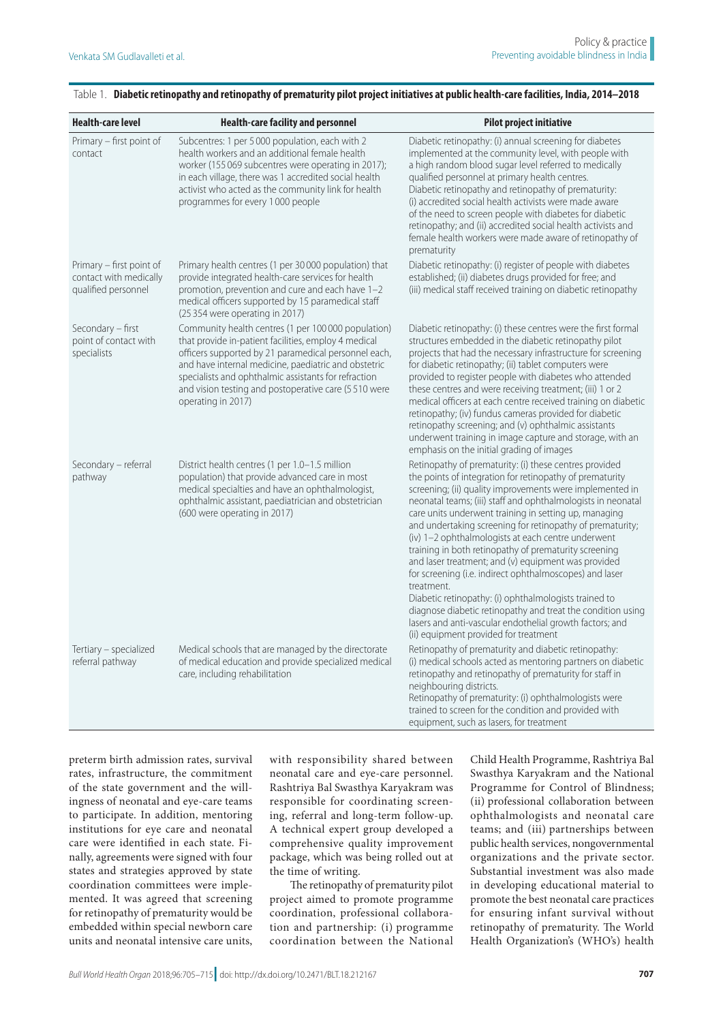| <b>Health-care level</b>                                                  | Health-care facility and personnel                                                                                                                                                                                                                                                                                                                                | <b>Pilot project initiative</b>                                                                                                                                                                                                                                                                                                                                                                                                                                                                                                                                                                                                                                                                                                                                                                                                                  |
|---------------------------------------------------------------------------|-------------------------------------------------------------------------------------------------------------------------------------------------------------------------------------------------------------------------------------------------------------------------------------------------------------------------------------------------------------------|--------------------------------------------------------------------------------------------------------------------------------------------------------------------------------------------------------------------------------------------------------------------------------------------------------------------------------------------------------------------------------------------------------------------------------------------------------------------------------------------------------------------------------------------------------------------------------------------------------------------------------------------------------------------------------------------------------------------------------------------------------------------------------------------------------------------------------------------------|
| Primary – first point of<br>contact                                       | Subcentres: 1 per 5000 population, each with 2<br>health workers and an additional female health<br>worker (155 069 subcentres were operating in 2017);<br>in each village, there was 1 accredited social health<br>activist who acted as the community link for health<br>programmes for every 1000 people                                                       | Diabetic retinopathy: (i) annual screening for diabetes<br>implemented at the community level, with people with<br>a high random blood sugar level referred to medically<br>qualified personnel at primary health centres.<br>Diabetic retinopathy and retinopathy of prematurity:<br>(i) accredited social health activists were made aware<br>of the need to screen people with diabetes for diabetic<br>retinopathy; and (ii) accredited social health activists and<br>female health workers were made aware of retinopathy of<br>prematurity                                                                                                                                                                                                                                                                                                |
| Primary – first point of<br>contact with medically<br>qualified personnel | Primary health centres (1 per 30000 population) that<br>provide integrated health-care services for health<br>promotion, prevention and cure and each have 1-2<br>medical officers supported by 15 paramedical staff<br>(25 354 were operating in 2017)                                                                                                           | Diabetic retinopathy: (i) register of people with diabetes<br>established; (ii) diabetes drugs provided for free; and<br>(iii) medical staff received training on diabetic retinopathy                                                                                                                                                                                                                                                                                                                                                                                                                                                                                                                                                                                                                                                           |
| Secondary - first<br>point of contact with<br>specialists                 | Community health centres (1 per 100 000 population)<br>that provide in-patient facilities, employ 4 medical<br>officers supported by 21 paramedical personnel each,<br>and have internal medicine, paediatric and obstetric<br>specialists and ophthalmic assistants for refraction<br>and vision testing and postoperative care (5510 were<br>operating in 2017) | Diabetic retinopathy: (i) these centres were the first formal<br>structures embedded in the diabetic retinopathy pilot<br>projects that had the necessary infrastructure for screening<br>for diabetic retinopathy; (ii) tablet computers were<br>provided to register people with diabetes who attended<br>these centres and were receiving treatment; (iii) 1 or 2<br>medical officers at each centre received training on diabetic<br>retinopathy; (iv) fundus cameras provided for diabetic<br>retinopathy screening; and (v) ophthalmic assistants<br>underwent training in image capture and storage, with an<br>emphasis on the initial grading of images                                                                                                                                                                                 |
| Secondary – referral<br>pathway                                           | District health centres (1 per 1.0–1.5 million<br>population) that provide advanced care in most<br>medical specialties and have an ophthalmologist,<br>ophthalmic assistant, paediatrician and obstetrician<br>(600 were operating in 2017)                                                                                                                      | Retinopathy of prematurity: (i) these centres provided<br>the points of integration for retinopathy of prematurity<br>screening; (ii) quality improvements were implemented in<br>neonatal teams; (iii) staff and ophthalmologists in neonatal<br>care units underwent training in setting up, managing<br>and undertaking screening for retinopathy of prematurity;<br>(iv) 1-2 ophthalmologists at each centre underwent<br>training in both retinopathy of prematurity screening<br>and laser treatment; and (v) equipment was provided<br>for screening (i.e. indirect ophthalmoscopes) and laser<br>treatment.<br>Diabetic retinopathy: (i) ophthalmologists trained to<br>diagnose diabetic retinopathy and treat the condition using<br>lasers and anti-vascular endothelial growth factors; and<br>(ii) equipment provided for treatment |
| Tertiary - specialized<br>referral pathway                                | Medical schools that are managed by the directorate<br>of medical education and provide specialized medical<br>care, including rehabilitation                                                                                                                                                                                                                     | Retinopathy of prematurity and diabetic retinopathy:<br>(i) medical schools acted as mentoring partners on diabetic<br>retinopathy and retinopathy of prematurity for staff in<br>neighbouring districts.<br>Retinopathy of prematurity: (i) ophthalmologists were<br>trained to screen for the condition and provided with<br>equipment, such as lasers, for treatment                                                                                                                                                                                                                                                                                                                                                                                                                                                                          |

#### <span id="page-2-0"></span>Table 1. **Diabetic retinopathy and retinopathy of prematurity pilot project initiatives at public health-care facilities, India, 2014–2018**

preterm birth admission rates, survival rates, infrastructure, the commitment of the state government and the willingness of neonatal and eye-care teams to participate. In addition, mentoring institutions for eye care and neonatal care were identified in each state. Finally, agreements were signed with four states and strategies approved by state coordination committees were implemented. It was agreed that screening for retinopathy of prematurity would be embedded within special newborn care units and neonatal intensive care units,

with responsibility shared between neonatal care and eye-care personnel. Rashtriya Bal Swasthya Karyakram was responsible for coordinating screening, referral and long-term follow-up. A technical expert group developed a comprehensive quality improvement package, which was being rolled out at the time of writing.

The retinopathy of prematurity pilot project aimed to promote programme coordination, professional collaboration and partnership: (i) programme coordination between the National

Child Health Programme, Rashtriya Bal Swasthya Karyakram and the National Programme for Control of Blindness; (ii) professional collaboration between ophthalmologists and neonatal care teams; and (iii) partnerships between public health services, nongovernmental organizations and the private sector. Substantial investment was also made in developing educational material to promote the best neonatal care practices for ensuring infant survival without retinopathy of prematurity. The World Health Organization's (WHO's) health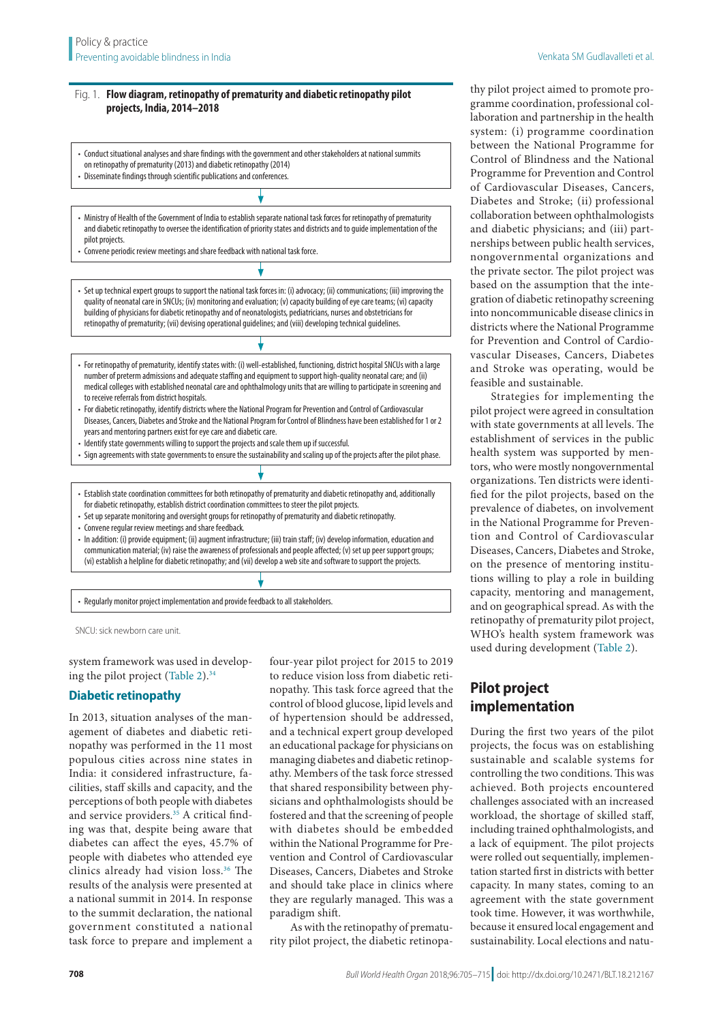#### <span id="page-3-0"></span>Fig. 1. **Flow diagram, retinopathy of prematurity and diabetic retinopathy pilot projects, India, 2014–2018**

- Conduct situational analyses and share findings with the government and other stakeholders at national summits on retinopathy of prematurity (2013) and diabetic retinopathy (2014)
- Disseminate findings through scientific publications and conferences.
- Ministry of Health of the Government of India to establish separate national task forces for retinopathy of prematurity and diabetic retinopathy to oversee the identification of priority states and districts and to guide implementation of the pilot projects.
- Convene periodic review meetings and share feedback with national task force.
- Set up technical expert groups to support the national task forces in: (i) advocacy; (ii) communications; (iii) improving the quality of neonatal care in SNCUs; (iv) monitoring and evaluation; (v) capacity building of eye care teams; (vi) capacity building of physicians for diabetic retinopathy and of neonatologists, pediatricians, nurses and obstetricians for retinopathy of prematurity; (vii) devising operational guidelines; and (viii) developing technical guidelines.
- For retinopathy of prematurity, identify states with: (i) well-established, functioning, district hospital SNCUs with a large number of preterm admissions and adequate staffing and equipment to support high-quality neonatal care; and (ii) medical colleges with established neonatal care and ophthalmology units that are willing to participate in screening and to receive referrals from district hospitals.
- For diabetic retinopathy, identify districts where the National Program for Prevention and Control of Cardiovascular Diseases, Cancers, Diabetes and Stroke and the National Program for Control of Blindness have been established for 1 or 2 years and mentoring partners exist for eye care and diabetic care.
- Identify state governments willing to support the projects and scale them up if successful.
- Sign agreements with state governments to ensure the sustainability and scaling up of the projects after the pilot phase.
- Establish state coordination committees for both retinopathy of prematurity and diabetic retinopathy and, additionally for diabetic retinopathy, establish district coordination committees to steer the pilot projects.
- Set up separate monitoring and oversight groups for retinopathy of prematurity and diabetic retinopathy.
- Convene regular review meetings and share feedback.
- In addition: (i) provide equipment; (ii) augment infrastructure; (iii) train staff; (iv) develop information, education and communication material; (iv) raise the awareness of professionals and people affected; (v) set up peer support groups; (vi) establish a helpline for diabetic retinopathy; and (vii) develop a web site and software to support the projects.

• Regularly monitor project implementation and provide feedback to all stakeholders.

SNCU: sick newborn care unit.

system framework was used in developing the pilot project ([Table](#page-5-0) 2)[.34](#page-10-14)

# **Diabetic retinopathy**

In 2013, situation analyses of the management of diabetes and diabetic retinopathy was performed in the 11 most populous cities across nine states in India: it considered infrastructure, facilities, staff skills and capacity, and the perceptions of both people with diabetes and service providers.<sup>35</sup> A critical finding was that, despite being aware that diabetes can affect the eyes, 45.7% of people with diabetes who attended eye clinics already had vision loss.[36](#page-10-16) The results of the analysis were presented at a national summit in 2014. In response to the summit declaration, the national government constituted a national task force to prepare and implement a

four-year pilot project for 2015 to 2019 to reduce vision loss from diabetic retinopathy. This task force agreed that the control of blood glucose, lipid levels and of hypertension should be addressed, and a technical expert group developed an educational package for physicians on managing diabetes and diabetic retinopathy. Members of the task force stressed that shared responsibility between physicians and ophthalmologists should be fostered and that the screening of people with diabetes should be embedded within the National Programme for Prevention and Control of Cardiovascular Diseases, Cancers, Diabetes and Stroke and should take place in clinics where they are regularly managed. This was a paradigm shift.

As with the retinopathy of prematurity pilot project, the diabetic retinopathy pilot project aimed to promote programme coordination, professional collaboration and partnership in the health system: (i) programme coordination between the National Programme for Control of Blindness and the National Programme for Prevention and Control of Cardiovascular Diseases, Cancers, Diabetes and Stroke; (ii) professional collaboration between ophthalmologists and diabetic physicians; and (iii) partnerships between public health services, nongovernmental organizations and the private sector. The pilot project was based on the assumption that the integration of diabetic retinopathy screening into noncommunicable disease clinics in districts where the National Programme for Prevention and Control of Cardiovascular Diseases, Cancers, Diabetes and Stroke was operating, would be feasible and sustainable.

Strategies for implementing the pilot project were agreed in consultation with state governments at all levels. The establishment of services in the public health system was supported by mentors, who were mostly nongovernmental organizations. Ten districts were identified for the pilot projects, based on the prevalence of diabetes, on involvement in the National Programme for Prevention and Control of Cardiovascular Diseases, Cancers, Diabetes and Stroke, on the presence of mentoring institutions willing to play a role in building capacity, mentoring and management, and on geographical spread. As with the retinopathy of prematurity pilot project, WHO's health system framework was used during development ([Table](#page-5-0) 2).

# **Pilot project implementation**

During the first two years of the pilot projects, the focus was on establishing sustainable and scalable systems for controlling the two conditions. This was achieved. Both projects encountered challenges associated with an increased workload, the shortage of skilled staff, including trained ophthalmologists, and a lack of equipment. The pilot projects were rolled out sequentially, implementation started first in districts with better capacity. In many states, coming to an agreement with the state government took time. However, it was worthwhile, because it ensured local engagement and sustainability. Local elections and natu-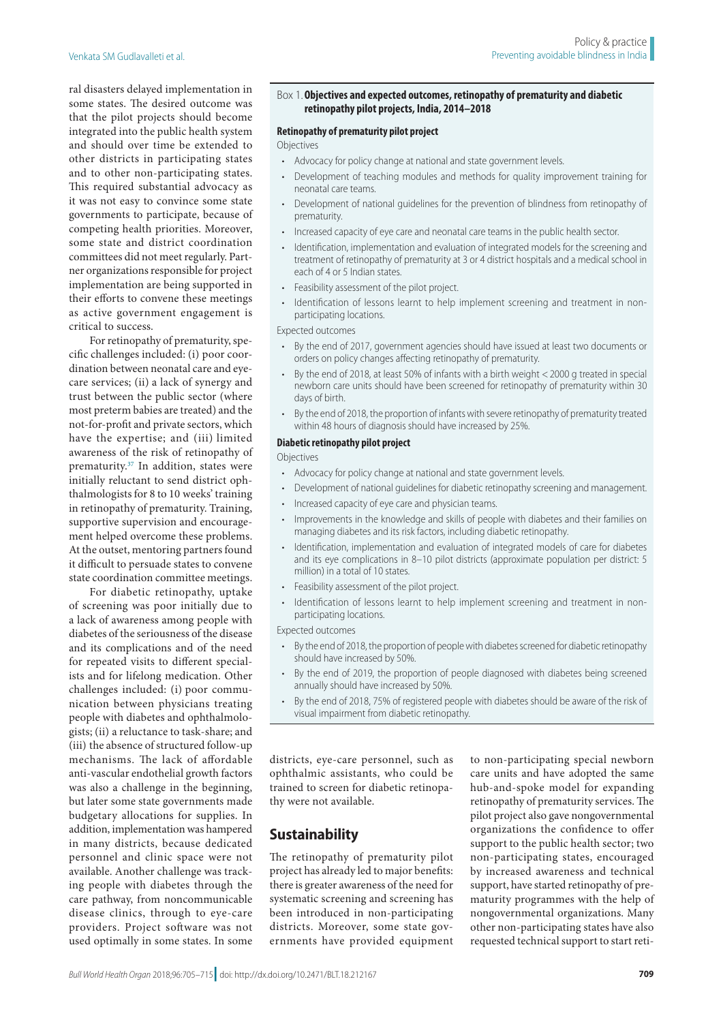ral disasters delayed implementation in some states. The desired outcome was that the pilot projects should become integrated into the public health system and should over time be extended to other districts in participating states and to other non-participating states. This required substantial advocacy as it was not easy to convince some state governments to participate, because of competing health priorities. Moreover, some state and district coordination committees did not meet regularly. Partner organizations responsible for project implementation are being supported in their efforts to convene these meetings as active government engagement is critical to success.

For retinopathy of prematurity, specific challenges included: (i) poor coordination between neonatal care and eyecare services; (ii) a lack of synergy and trust between the public sector (where most preterm babies are treated) and the not-for-profit and private sectors, which have the expertise; and (iii) limited awareness of the risk of retinopathy of prematurity.<sup>[37](#page-10-17)</sup> In addition, states were initially reluctant to send district ophthalmologists for 8 to 10 weeks' training in retinopathy of prematurity. Training, supportive supervision and encouragement helped overcome these problems. At the outset, mentoring partners found it difficult to persuade states to convene state coordination committee meetings.

For diabetic retinopathy, uptake of screening was poor initially due to a lack of awareness among people with diabetes of the seriousness of the disease and its complications and of the need for repeated visits to different specialists and for lifelong medication. Other challenges included: (i) poor communication between physicians treating people with diabetes and ophthalmologists; (ii) a reluctance to task-share; and (iii) the absence of structured follow-up mechanisms. The lack of affordable anti-vascular endothelial growth factors was also a challenge in the beginning, but later some state governments made budgetary allocations for supplies. In addition, implementation was hampered in many districts, because dedicated personnel and clinic space were not available. Another challenge was tracking people with diabetes through the care pathway, from noncommunicable disease clinics, through to eye-care providers. Project software was not used optimally in some states. In some

#### <span id="page-4-0"></span>Box 1.**Objectives and expected outcomes, retinopathy of prematurity and diabetic retinopathy pilot projects, India, 2014–2018**

#### **Retinopathy of prematurity pilot project**

#### Objectives

- Advocacy for policy change at national and state government levels.
- Development of teaching modules and methods for quality improvement training for neonatal care teams.
- Development of national guidelines for the prevention of blindness from retinopathy of prematurity.
- Increased capacity of eye care and neonatal care teams in the public health sector.
- Identification, implementation and evaluation of integrated models for the screening and treatment of retinopathy of prematurity at 3 or 4 district hospitals and a medical school in each of 4 or 5 Indian states.
- Feasibility assessment of the pilot project.
- Identification of lessons learnt to help implement screening and treatment in nonparticipating locations.

#### Expected outcomes

- By the end of 2017, government agencies should have issued at least two documents or orders on policy changes affecting retinopathy of prematurity.
- By the end of 2018, at least 50% of infants with a birth weight <2000 g treated in special newborn care units should have been screened for retinopathy of prematurity within 30 days of birth.
- By the end of 2018, the proportion of infants with severe retinopathy of prematurity treated within 48 hours of diagnosis should have increased by 25%.

#### **Diabetic retinopathy pilot project**

#### Objectives

- Advocacy for policy change at national and state government levels.
- Development of national guidelines for diabetic retinopathy screening and management.
- Increased capacity of eye care and physician teams.
- Improvements in the knowledge and skills of people with diabetes and their families on managing diabetes and its risk factors, including diabetic retinopathy.
- Identification, implementation and evaluation of integrated models of care for diabetes and its eye complications in 8–10 pilot districts (approximate population per district: 5 million) in a total of 10 states.
- Feasibility assessment of the pilot project.
- Identification of lessons learnt to help implement screening and treatment in nonparticipating locations.

Expected outcomes

- By the end of 2018, the proportion of people with diabetes screened for diabetic retinopathy should have increased by 50%.
- By the end of 2019, the proportion of people diagnosed with diabetes being screened annually should have increased by 50%.
- By the end of 2018, 75% of registered people with diabetes should be aware of the risk of visual impairment from diabetic retinopathy.

districts, eye-care personnel, such as ophthalmic assistants, who could be trained to screen for diabetic retinopathy were not available.

# **Sustainability**

The retinopathy of prematurity pilot project has already led to major benefits: there is greater awareness of the need for systematic screening and screening has been introduced in non-participating districts. Moreover, some state governments have provided equipment

to non-participating special newborn care units and have adopted the same hub-and-spoke model for expanding retinopathy of prematurity services. The pilot project also gave nongovernmental organizations the confidence to offer support to the public health sector; two non-participating states, encouraged by increased awareness and technical support, have started retinopathy of prematurity programmes with the help of nongovernmental organizations. Many other non-participating states have also requested technical support to start reti-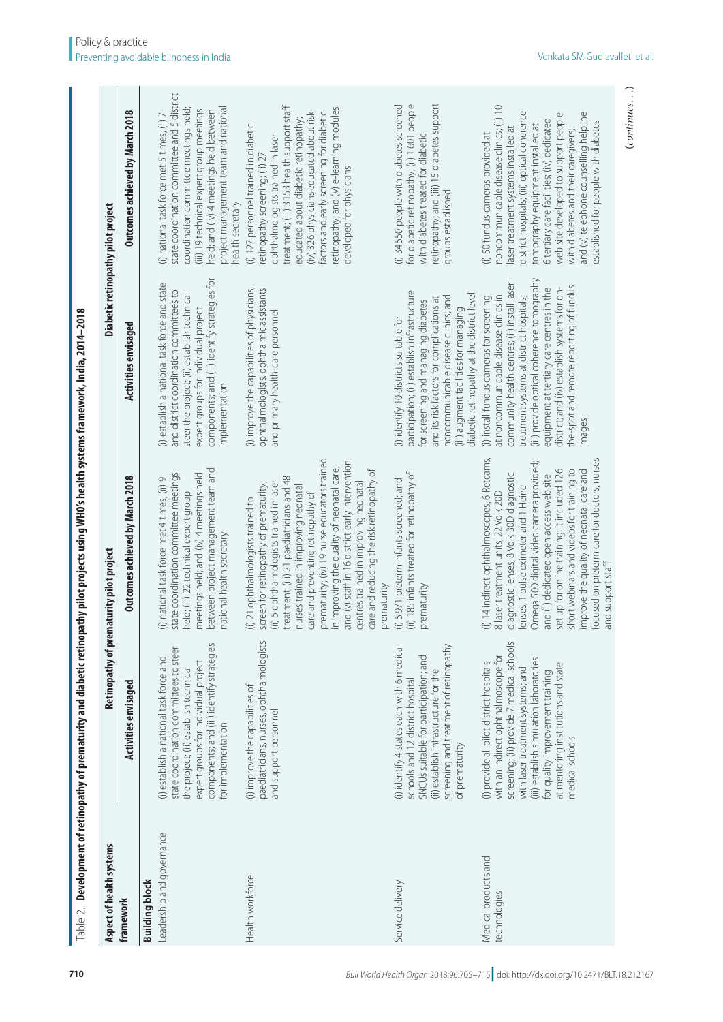<span id="page-5-0"></span>

| Aspect of health systems                           |                                                                                 | Retinopathy of prematurity pilot project                                                          |                                                                                           | Diabetic retinopathy pilot project                                                     |
|----------------------------------------------------|---------------------------------------------------------------------------------|---------------------------------------------------------------------------------------------------|-------------------------------------------------------------------------------------------|----------------------------------------------------------------------------------------|
| framework                                          | Activities envisaged                                                            | Outcomes achieved by March 2018                                                                   | <b>Activities envisaged</b>                                                               | <b>Outcomes achieved by March 2018</b>                                                 |
| Leadership and governance<br><b>Building block</b> | (i) establish a national task force and                                         | (i) national task force met 4 times; (ii) 9                                                       | (i) establish a national task force and state                                             | (i) national task force met 5 times; (ii) 7                                            |
|                                                    | state coordination committees to steer                                          | state coordination committee meetings                                                             | and district coordination committees to                                                   | state coordination committee and 5 district                                            |
|                                                    | expert groups for individual project<br>the project; (ii) establish technical   | meetings held; and (iv) 4 meetings held<br>held; (iii) 22 technical expert group                  | steer the project; (ii) establish technical                                               | coordination committee meetings held;                                                  |
|                                                    | components; and (iii) identify strategies                                       | between project management team and                                                               | components; and (iii) identify strategies for<br>expert groups for individual project     | (iii) 19 technical expert group meetings<br>held; and (iv) 4 meetings held between     |
|                                                    | for implementation                                                              | national health secretary                                                                         | implementation                                                                            | project management team and national<br>health secretary                               |
| Health workforce                                   | paediatricians, nurses, ophthalmologists<br>(i) improve the capabilities of     | screen for retinopathy of prematurity;<br>(i) 21 ophthalmologists trained to                      | ophthalmologists, ophthalmic assistants<br>(i) improve the capabilities of physicians,    | (i) 127 personnel trained in diabetic<br>retinopathy screening; (ii) 27                |
|                                                    | and support personnel                                                           | treatment; (iii) 21 paediatricians and 48<br>(ii) 5 ophthalmologists trained in laser             | and primary health-care personnel                                                         | treatment; (iii) 3 153 health support staff<br>ophthalmologists trained in laser       |
|                                                    |                                                                                 | nurses trained in improving neonatal                                                              |                                                                                           | (iv) 326 physicians educated about risk<br>educated about diabetic retinopathy;        |
|                                                    |                                                                                 | prematurity; (iv) 19 nurse educators trained<br>care and preventing retinopathy of                |                                                                                           | factors and early screening for diabetic                                               |
|                                                    |                                                                                 | and (v) staff in 16 district early intervention<br>in improving the quality of neonatal care;     |                                                                                           | retinopathy; and (v) e-learning modules<br>developed for physicians                    |
|                                                    |                                                                                 | care and reducing the risk retinopathy of<br>centres trained in improving neonatal<br>prematurity |                                                                                           |                                                                                        |
| Service delivery                                   | (i) identify 4 states each with 6 medical<br>schools and 12 district hospital   | (ii) 185 infants treated for retinopathy of<br>(i) 5971 preterm infants screened; and             | participation; (ii) establish infrastructure<br>(i) identify 10 districts suitable for    | for diabetic retinopathy; (ii) 1601 people<br>(i) 34 550 people with diabetes screened |
|                                                    | SNCUs suitable for participation; and                                           | prematurity                                                                                       | for screening and managing diabetes                                                       | with diabetes treated for diabetic                                                     |
|                                                    | screening and treatment of retinopathy<br>(ii) establish infrastructure for the |                                                                                                   | noncommunicable disease clinics; and<br>and its risk factors for complications at         | retinopathy; and (iii) 15 diabetes support<br>groups established                       |
|                                                    | of prematurity                                                                  |                                                                                                   | diabetic retinopathy at the district level<br>(iii) augment facilities for managing       |                                                                                        |
| Medical products and<br>technologies               | with an indirect ophthalmoscope for<br>(i) provide all pilot district hospitals | (i) 14 indirect ophthalmoscopes, 6 Retcams,<br>8 laser treatment units, 22 Volk 20D               | at noncommunicable disease clinics in<br>(i) install fundus cameras for screening         | noncommunicable disease clinics; (ii) 10<br>(i) 50 fundus cameras provided at          |
|                                                    | screening; (ii) provide 7 medical schools<br>with laser treatment systems; and  | diagnostic lenses, 8 Volk 30D diagnostic<br>lenses, 1 pulse oximeter and 1 Heine                  | community health centres; (ii) install laser<br>treatment systems at district hospitals;  | district hospitals; (iii) optical coherence<br>laser treatment systems installed at    |
|                                                    | (iii) establish simulation laboratories                                         | Omega 500 digital video camera provided;                                                          | (iii) provide optical coherence tomography                                                | tomography equipment installed at                                                      |
|                                                    | at mentoring institutions and state<br>for quality improvement training         | set up for online training: it included 126<br>and (ii) dedicated open access web site            | district; and (iv) establish systems for on-<br>equipment at tertiary care centres in the | web site developed to support people<br>6 tertiary care facilities; (iv) dedicated     |
|                                                    | medical schools                                                                 | short webinars and videos for training to<br>improve the quality of neonatal care and             | the-spot and remote reporting of fundus<br>images                                         | and (v) telephone counselling helpline<br>with diabetes and their caregivers;          |
|                                                    |                                                                                 | focused on preterm care for doctors, nurses                                                       |                                                                                           | established for people with diabetes                                                   |
|                                                    |                                                                                 | and support staff                                                                                 |                                                                                           |                                                                                        |

 $(continues. \ . \ )$ (*continues*. . .)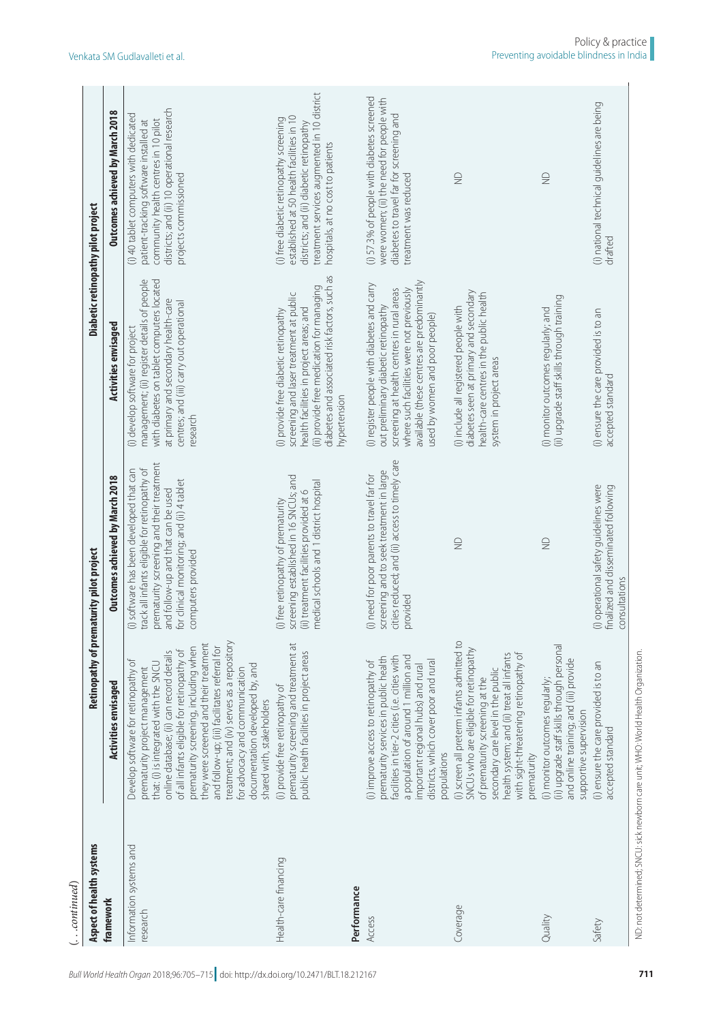| Aspect of health systems<br>$\ldots$ continued | <b>Retinopathy of prem</b>                                                                                                                                                                                                                                                                                                                                                                                                                                                                   | aturity pilot project                                                                                                                                                                                                                            |                                                                                                                                                                                                                                                                | Diabetic retinopathy pilot project                                                                                                                                                                                   |
|------------------------------------------------|----------------------------------------------------------------------------------------------------------------------------------------------------------------------------------------------------------------------------------------------------------------------------------------------------------------------------------------------------------------------------------------------------------------------------------------------------------------------------------------------|--------------------------------------------------------------------------------------------------------------------------------------------------------------------------------------------------------------------------------------------------|----------------------------------------------------------------------------------------------------------------------------------------------------------------------------------------------------------------------------------------------------------------|----------------------------------------------------------------------------------------------------------------------------------------------------------------------------------------------------------------------|
| framework                                      | Activities envisaged                                                                                                                                                                                                                                                                                                                                                                                                                                                                         | Outcomes achieved by March 2018                                                                                                                                                                                                                  | <b>Activities envisaged</b>                                                                                                                                                                                                                                    | Outcomes achieved by March 2018                                                                                                                                                                                      |
| Information systems and<br>research            | treatment; and (iv) serves as a repository<br>they were screened and their treatment<br>and follow-up; (iii) facilitates referral for<br>prematurity screening, including when<br>of all infants eligible for retinopathy of<br>online database; (ii) can record details<br>Develop software for retinopathy of<br>that: (i) is integrated with the SNCU<br>documentation developed by, and<br>prematurity project management<br>for advocacy and communication<br>shared with, stakeholders | prematurity screening and their treatment<br>(i) software has been developed that can<br>track all infants eligible for retinopathy of<br>for clinical monitoring; and (ii) 4 tablet<br>and follow-up and that can be used<br>computers provided | management; (ii) register details of people<br>with diabetes on tablet computers located<br>at primary and secondary health-care<br>centres; and (iii) carry out operational<br>(i) develop software for project<br>research                                   | districts; and (ii) 10 operational research<br>(i) 40 tablet computers with dedicated<br>community health centres in 10 pilot<br>patient-tracking software installed at<br>projects commissioned                     |
| Health-care financing                          | prematurity screening and treatment at<br>public health facilities in project areas<br>(i) provide free retinopathy of                                                                                                                                                                                                                                                                                                                                                                       | screening established in 16 SNCUs; and<br>medical schools and 1 district hospital<br>(ii) treatment facilities provided at 6<br>(i) free retinopathy of prematurity                                                                              | diabetes and associated risk factors, such as<br>(ii) provide free medication for managing<br>screening and laser treatment at public<br>health facilities in project areas; and<br>(i) provide free diabetic retinopathy<br>hypertension                      | treatment services augmented in 10 district<br>established at 50 health facilities in 10<br>(i) free diabetic retinopathy screening<br>districts; and (ii) diabetic retinopathy<br>hospitals, at no cost to patients |
| Performance                                    |                                                                                                                                                                                                                                                                                                                                                                                                                                                                                              |                                                                                                                                                                                                                                                  |                                                                                                                                                                                                                                                                |                                                                                                                                                                                                                      |
| Access                                         | a population of around 1 million and<br>prematurity services in public health<br>facilities in tier-2 cities (i.e. cities with<br>districts, which cover poor and rural<br>(i) improve access to retinopathy of<br>important regional hubs) and rural<br>populations                                                                                                                                                                                                                         | cities reduced; and (ii) access to timely care<br>screening and to seek treatment in large<br>(i) need for poor parents to travel far for<br>provided                                                                                            | available (these centres are predominantly<br>(i) register people with diabetes and carry<br>screening at health centres in rural areas<br>where such facilities were not previously<br>out preliminary diabetic retinopathy<br>used by women and poor people) | (i) 57.3% of people with diabetes screened<br>were women; (ii) the need for people with<br>diabetes to travel far for screening and<br>treatment was reduced                                                         |
| Coverage                                       | (i) screen all preterm infants admitted to<br>SNCUs who are eligible for retinopathy<br>health system; and (ii) treat all infants<br>with sight-threatening retinopathy of<br>secondary care level in the public<br>of prematurity screening at the<br>prematurity                                                                                                                                                                                                                           | $\supseteq$                                                                                                                                                                                                                                      | diabetes seen at primary and secondary<br>health-care centres in the public health<br>(i) include all registered people with<br>system in project areas                                                                                                        | $\supseteq$                                                                                                                                                                                                          |
| Quality                                        | (ii) upgrade staff skills through personal<br>and online training; and (iii) provide<br>(i) monitor outcomes regularly;<br>supportive supervision                                                                                                                                                                                                                                                                                                                                            | $\supseteq$                                                                                                                                                                                                                                      | (ii) upgrade staff skills through training<br>(i) monitor outcomes regularly; and                                                                                                                                                                              | $\supseteq$                                                                                                                                                                                                          |
| Safety                                         | (i) ensure the care provided is to an<br>accepted standard                                                                                                                                                                                                                                                                                                                                                                                                                                   | (i) operational safety guidelines were<br>finalized and disseminated following<br>consultations                                                                                                                                                  | (i) ensure the care provided is to an<br>accepted standard                                                                                                                                                                                                     | (i) national technical guidelines are being<br>drafted                                                                                                                                                               |
|                                                | ND: not determined; SNCU: sick newbom care unit; WHO: World Health Organization.                                                                                                                                                                                                                                                                                                                                                                                                             |                                                                                                                                                                                                                                                  |                                                                                                                                                                                                                                                                |                                                                                                                                                                                                                      |

*Bull World Health Organ* 2018;96:705–715| doi: http://dx.doi.org/10.2471/BLT.18.212167 **<sup>711</sup>**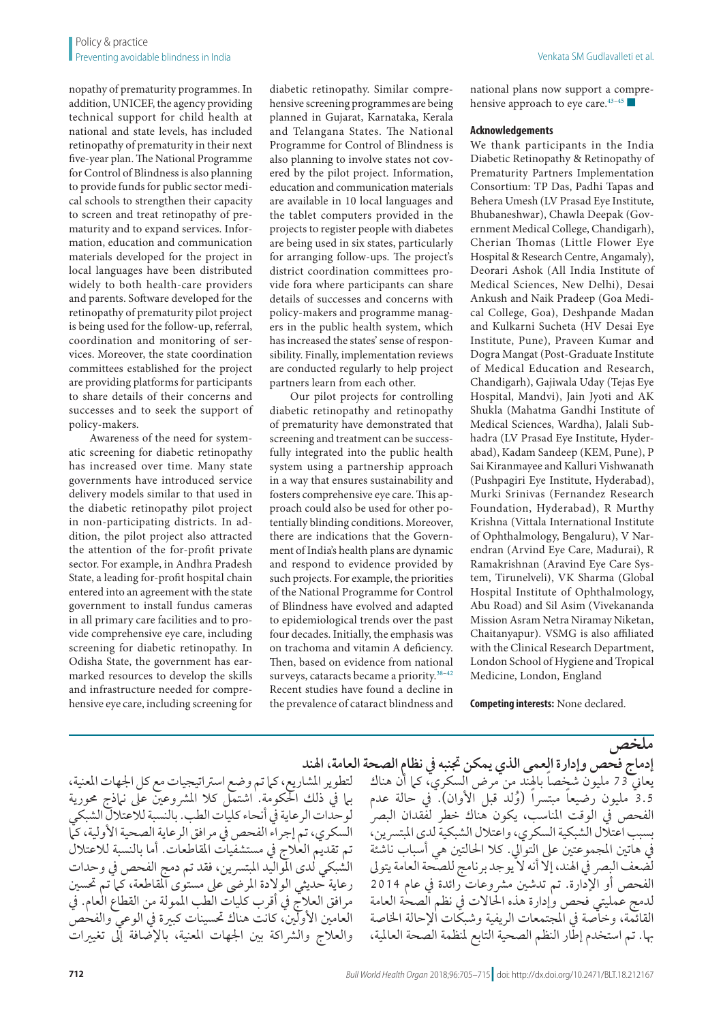nopathy of prematurity programmes. In addition, UNICEF, the agency providing technical support for child health at national and state levels, has included retinopathy of prematurity in their next five-year plan. The National Programme for Control of Blindness is also planning to provide funds for public sector medical schools to strengthen their capacity to screen and treat retinopathy of prematurity and to expand services. Information, education and communication materials developed for the project in local languages have been distributed widely to both health-care providers and parents. Software developed for the retinopathy of prematurity pilot project is being used for the follow-up, referral, coordination and monitoring of services. Moreover, the state coordination committees established for the project are providing platforms for participants to share details of their concerns and successes and to seek the support of policy-makers.

Awareness of the need for systematic screening for diabetic retinopathy has increased over time. Many state governments have introduced service delivery models similar to that used in the diabetic retinopathy pilot project in non-participating districts. In addition, the pilot project also attracted the attention of the for-profit private sector. For example, in Andhra Pradesh State, a leading for-profit hospital chain entered into an agreement with the state government to install fundus cameras in all primary care facilities and to provide comprehensive eye care, including screening for diabetic retinopathy. In Odisha State, the government has earmarked resources to develop the skills and infrastructure needed for comprehensive eye care, including screening for

diabetic retinopathy. Similar comprehensive screening programmes are being planned in Gujarat, Karnataka, Kerala and Telangana States. The National Programme for Control of Blindness is also planning to involve states not covered by the pilot project. Information, education and communication materials are available in 10 local languages and the tablet computers provided in the projects to register people with diabetes are being used in six states, particularly for arranging follow-ups. The project's district coordination committees provide fora where participants can share details of successes and concerns with policy-makers and programme managers in the public health system, which has increased the states' sense of responsibility. Finally, implementation reviews are conducted regularly to help project partners learn from each other.

Our pilot projects for controlling diabetic retinopathy and retinopathy of prematurity have demonstrated that screening and treatment can be successfully integrated into the public health system using a partnership approach in a way that ensures sustainability and fosters comprehensive eye care. This approach could also be used for other potentially blinding conditions. Moreover, there are indications that the Government of India's health plans are dynamic and respond to evidence provided by such projects. For example, the priorities of the National Programme for Control of Blindness have evolved and adapted to epidemiological trends over the past four decades. Initially, the emphasis was on trachoma and vitamin A deficiency. Then, based on evidence from national surveys, cataracts became a priority.<sup>38-[42](#page-10-19)</sup> Recent studies have found a decline in the prevalence of cataract blindness and

national plans now support a comprehensive approach to eye care[.43–](#page-10-20)[45](#page-10-21) ■

#### **Acknowledgements**

We thank participants in the India Diabetic Retinopathy & Retinopathy of Prematurity Partners Implementation Consortium: TP Das, Padhi Tapas and Behera Umesh (LV Prasad Eye Institute, Bhubaneshwar), Chawla Deepak (Government Medical College, Chandigarh), Cherian Thomas (Little Flower Eye Hospital & Research Centre, Angamaly), Deorari Ashok (All India Institute of Medical Sciences, New Delhi), Desai Ankush and Naik Pradeep (Goa Medical College, Goa), Deshpande Madan and Kulkarni Sucheta (HV Desai Eye Institute, Pune), Praveen Kumar and Dogra Mangat (Post-Graduate Institute of Medical Education and Research, Chandigarh), Gajiwala Uday (Tejas Eye Hospital, Mandvi), Jain Jyoti and AK Shukla (Mahatma Gandhi Institute of Medical Sciences, Wardha), Jalali Subhadra (LV Prasad Eye Institute, Hyderabad), Kadam Sandeep (KEM, Pune), P Sai Kiranmayee and Kalluri Vishwanath (Pushpagiri Eye Institute, Hyderabad), Murki Srinivas (Fernandez Research Foundation, Hyderabad), R Murthy Krishna (Vittala International Institute of Ophthalmology, Bengaluru), V Narendran (Arvind Eye Care, Madurai), R Ramakrishnan (Aravind Eye Care System, Tirunelveli), VK Sharma (Global Hospital Institute of Ophthalmology, Abu Road) and Sil Asim (Vivekananda Mission Asram Netra Niramay Niketan, Chaitanyapur). VSMG is also affiliated with the Clinical Research Department, London School of Hygiene and Tropical Medicine, London, England

**Competing interests:** None declared.

لتطوير المشاريع، كما تم وضع استراتيجيات مع كل الجهات المعنية، بيا في ذلك الحكومة. اشتمل كلا المشروعين على نباذج محورية لوحدات الرعاية يف أنحاء كليات الطب. بالنسبة لالعتالل الشبكي السكري، تم إجراء الفحص في مرافق الرعاية الصحية الأولية، كما تم تقديم العالج يف مستشفيات املقاطعات. أما بالنسبة لالعتالل الشبكي لدى المواليد المبتسرين، فقد تم دمج الفحص في وحدات رعاية حديثي الوالدة املرىض عىل مستوى املقاطعة، كام تم حتسني مرافق العالج يف أقرب كليات الطب املمولة من القطاع العام. يف العامين الأولين، كانت هناك تحسينات كبيرة في الوعي والفحص والعلاج والشراكة بين الجهات المعنية، بالإضافة إلى تغييرات

**ملخص إدماج فحص وإدارة العمى الذي يمكن جتنبه يف نظام الصحة العامة، اهلند** يعاني 73 مليون شخصا بالهند من مرض السكري، كما أن هناك 3.5 مليون رضيعاً مبتسراً (وُلد قبل الأوان). في حالة عدم الفحص في الوقت المناسب، يكون هناك خطر لفَّقدان البصر بسبب اعتالل الشبكية السكري، واعتالل الشبكية لدى املبترسين، يف هاتني املجموعتني عىل التوايل. كال احلالتني هي أسباب ناشئة لضعف البِصر في الهند، إلا أنه لا يوجد برنامج للصحة العامة يتولى الفحص أو الإدارة. تم تدشين مشروعات رائدة في عام 2014 لدمج عمليتي فحص وإدارة هذه احلاالت يف نظم الصحة العامة القائمة، وخاصة في المجتمعات الريفية وشبكات الإحالة الخاصة هبا. تم استخدم إطار النظم الصحية التابع ملنظمة الصحة العاملية،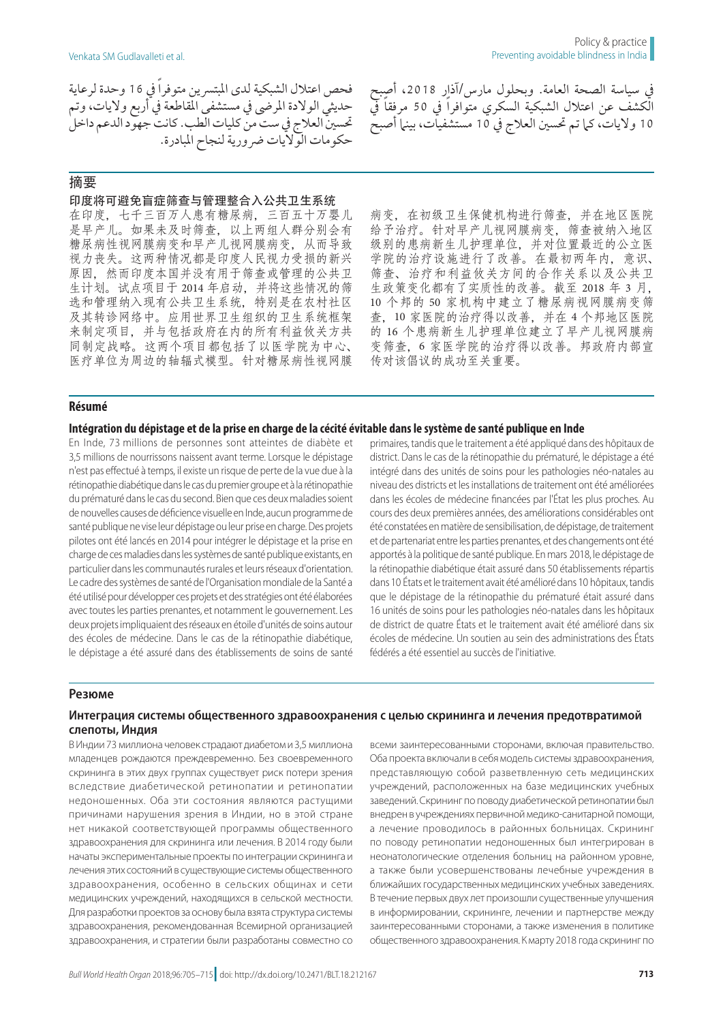فحص اعتالل الشبكية لدى املبترسين متوفراً يف 16 وحدة لرعاية حديثي الوالدة املرىض يف مستشفى املقاطعة يف أربع واليات، وتم حتسني العالج يف ست من كليات الطب. كانت جهود الدعم داخل حكومات الواليات رضورية لنجاح املبادرة.

# 摘要

#### 印度将可避免盲症筛查与管理整合入公共卫生系统

在印度,七千三百万人患有糖尿病,三百五十万婴儿 是早产儿。如果未及时筛查,以上两组人群分别会有 糖尿病性视网膜病变和早产儿视网膜病变,从而导致 视力丧失。这两种情况都是印度人民视力受损的新兴 原因,然而印度本国并没有用于筛查或管理的公共卫 生计划。试点项目于 2014 年启动,并将这些情况的筛 选和管理纳入现有公共卫生系统,特别是在农村社区 及其转诊网络中。应用世界卫生组织的卫生系统框架 来制定项目,并与包括政府在内的所有利益攸关方共 同制定战略。这两个项目都包括了以医学院为中心、 医疗单位为周边的轴辐式模型。针对糖尿病性视网膜

病变,在初级卫生保健机构进行筛查,并在地区医院 给予治疗。针对早产儿视网膜病变,筛查被纳入地区 级别的患病新生儿护理单位,并对位置最近的公立医 学院的治疗设施进行了改善。在最初两年内,意识、 筛查、治疗和利益攸关方间的合作关系以及公共卫 生政策变化都有了实质性的改善。截至 2018 年 3 月, 10 个邦的 50 家机构中建立了糖尿病视网膜病变筛 查,10 家医院的治疗得以改善,并在 4 个邦地区医院 的 16 个患病新生儿护理单位建立了早产儿视网膜病 变筛查,6 家医学院的治疗得以改善。邦政府内部宣 传对该倡议的成功至关重要。

يف سياسة الصحة العامة. وبحلول مارس/آذار ،2018 أصبح الكشف عن اعتلال الشبكية السكري متوافراً في 50 مرفقاً في 10 ولايات، كما تم تحسين العلاج في 10 مستشفيات، بينما أصبح

#### **Résumé**

#### **Intégration du dépistage et de la prise en charge de la cécité évitable dans le système de santé publique en Inde**

En Inde, 73 millions de personnes sont atteintes de diabète et 3,5 millions de nourrissons naissent avant terme. Lorsque le dépistage n'est pas effectué à temps, il existe un risque de perte de la vue due à la rétinopathie diabétique dans le cas du premier groupe et à la rétinopathie du prématuré dans le cas du second. Bien que ces deux maladies soient de nouvelles causes de déficience visuelle en Inde, aucun programme de santé publique ne vise leur dépistage ou leur prise en charge. Des projets pilotes ont été lancés en 2014 pour intégrer le dépistage et la prise en charge de ces maladies dans les systèmes de santé publique existants, en particulier dans les communautés rurales et leurs réseaux d'orientation. Le cadre des systèmes de santé de l'Organisation mondiale de la Santé a été utilisé pour développer ces projets et des stratégies ont été élaborées avec toutes les parties prenantes, et notamment le gouvernement. Les deux projets impliquaient des réseaux en étoile d'unités de soins autour des écoles de médecine. Dans le cas de la rétinopathie diabétique, le dépistage a été assuré dans des établissements de soins de santé

primaires, tandis que le traitement a été appliqué dans des hôpitaux de district. Dans le cas de la rétinopathie du prématuré, le dépistage a été intégré dans des unités de soins pour les pathologies néo-natales au niveau des districts et les installations de traitement ont été améliorées dans les écoles de médecine financées par l'État les plus proches. Au cours des deux premières années, des améliorations considérables ont été constatées en matière de sensibilisation, de dépistage, de traitement et de partenariat entre les parties prenantes, et des changements ont été apportés à la politique de santé publique. En mars 2018, le dépistage de la rétinopathie diabétique était assuré dans 50 établissements répartis dans 10 États et le traitement avait été amélioré dans 10 hôpitaux, tandis que le dépistage de la rétinopathie du prématuré était assuré dans 16 unités de soins pour les pathologies néo-natales dans les hôpitaux de district de quatre États et le traitement avait été amélioré dans six écoles de médecine. Un soutien au sein des administrations des États fédérés a été essentiel au succès de l'initiative.

#### **Резюме**

#### **Интеграция системы общественного здравоохранения с целью скрининга и лечения предотвратимой слепоты, Индия**

В Индии 73 миллиона человек страдают диабетом и 3,5 миллиона младенцев рождаются преждевременно. Без своевременного скрининга в этих двух группах существует риск потери зрения вследствие диабетической ретинопатии и ретинопатии недоношенных. Оба эти состояния являются растущими причинами нарушения зрения в Индии, но в этой стране нет никакой соответствующей программы общественного здравоохранения для скрининга или лечения. В 2014 году были начаты экспериментальные проекты по интеграции скрининга и лечения этих состояний в существующие системы общественного здравоохранения, особенно в сельских общинах и сети медицинских учреждений, находящихся в сельской местности. Для разработки проектов за основу была взята структура системы здравоохранения, рекомендованная Всемирной организацией здравоохранения, и стратегии были разработаны совместно со

всеми заинтересованными сторонами, включая правительство. Оба проекта включали в себя модель системы здравоохранения, представляющую собой разветвленную сеть медицинских учреждений, расположенных на базе медицинских учебных заведений. Скрининг по поводу диабетической ретинопатии был внедрен в учреждениях первичной медико-санитарной помощи, а лечение проводилось в районных больницах. Скрининг по поводу ретинопатии недоношенных был интегрирован в неонатологические отделения больниц на районном уровне, а также были усовершенствованы лечебные учреждения в ближайших государственных медицинских учебных заведениях. В течение первых двух лет произошли существенные улучшения в информировании, скрининге, лечении и партнерстве между заинтересованными сторонами, а также изменения в политике общественного здравоохранения. К марту 2018 года скрининг по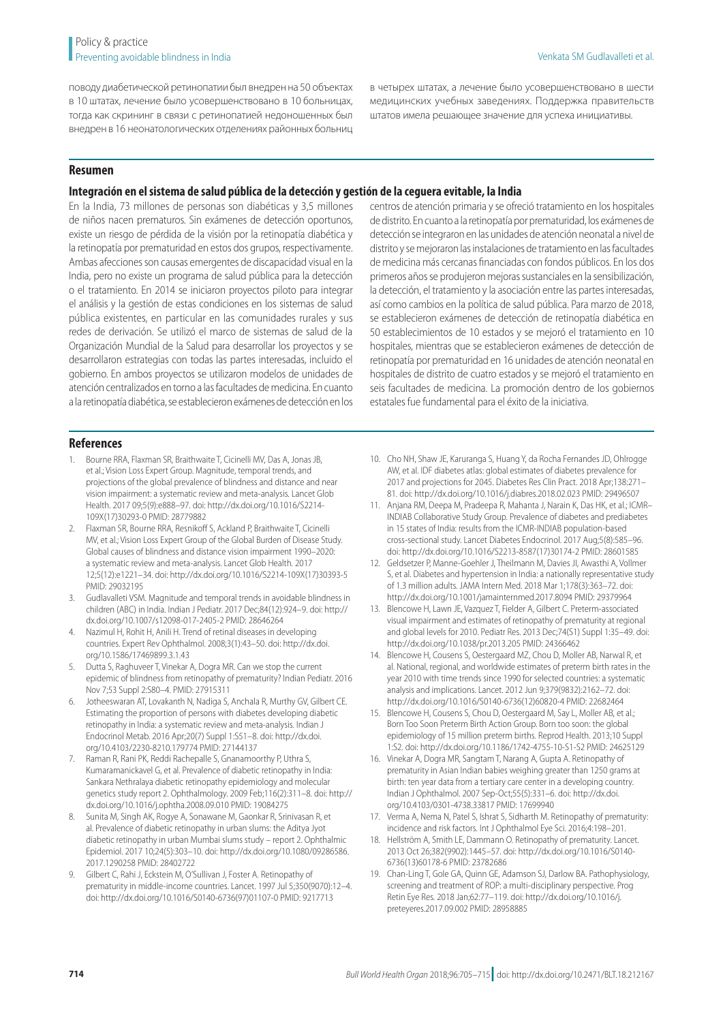поводу диабетической ретинопатии был внедрен на 50 объектах в 10 штатах, лечение было усовершенствовано в 10 больницах, тогда как скрининг в связи с ретинопатией недоношенных был внедрен в 16 неонатологических отделениях районных больниц

в четырех штатах, а лечение было усовершенствовано в шести медицинских учебных заведениях. Поддержка правительств штатов имела решающее значение для успеха инициативы.

### **Resumen**

### **Integración en el sistema de salud pública de la detección y gestión de la ceguera evitable, la India**

En la India, 73 millones de personas son diabéticas y 3,5 millones de niños nacen prematuros. Sin exámenes de detección oportunos, existe un riesgo de pérdida de la visión por la retinopatía diabética y la retinopatía por prematuridad en estos dos grupos, respectivamente. Ambas afecciones son causas emergentes de discapacidad visual en la India, pero no existe un programa de salud pública para la detección o el tratamiento. En 2014 se iniciaron proyectos piloto para integrar el análisis y la gestión de estas condiciones en los sistemas de salud pública existentes, en particular en las comunidades rurales y sus redes de derivación. Se utilizó el marco de sistemas de salud de la Organización Mundial de la Salud para desarrollar los proyectos y se desarrollaron estrategias con todas las partes interesadas, incluido el gobierno. En ambos proyectos se utilizaron modelos de unidades de atención centralizados en torno a las facultades de medicina. En cuanto a la retinopatía diabética, se establecieron exámenes de detección en los

centros de atención primaria y se ofreció tratamiento en los hospitales de distrito. En cuanto a la retinopatía por prematuridad, los exámenes de detección se integraron en las unidades de atención neonatal a nivel de distrito y se mejoraron las instalaciones de tratamiento en las facultades de medicina más cercanas financiadas con fondos públicos. En los dos primeros años se produjeron mejoras sustanciales en la sensibilización, la detección, el tratamiento y la asociación entre las partes interesadas, así como cambios en la política de salud pública. Para marzo de 2018, se establecieron exámenes de detección de retinopatía diabética en 50 establecimientos de 10 estados y se mejoró el tratamiento en 10 hospitales, mientras que se establecieron exámenes de detección de retinopatía por prematuridad en 16 unidades de atención neonatal en hospitales de distrito de cuatro estados y se mejoró el tratamiento en seis facultades de medicina. La promoción dentro de los gobiernos estatales fue fundamental para el éxito de la iniciativa.

#### **References**

- <span id="page-9-0"></span>1. Bourne RRA, Flaxman SR, Braithwaite T, Cicinelli MV, Das A, Jonas JB, et al.; Vision Loss Expert Group. Magnitude, temporal trends, and projections of the global prevalence of blindness and distance and near vision impairment: a systematic review and meta-analysis. Lancet Glob Health. 2017 09;5(9):e888–97. doi: [http://dx.doi.org/10.1016/S2214-](http://dx.doi.org/10.1016/S2214-109X(17)30293-0) [109X\(17\)30293-0](http://dx.doi.org/10.1016/S2214-109X(17)30293-0) PMID: [28779882](http://www.ncbi.nlm.nih.gov/pubmed/28779882)
- <span id="page-9-1"></span>2. Flaxman SR, Bourne RRA, Resnikoff S, Ackland P, Braithwaite T, Cicinelli MV, et al.; Vision Loss Expert Group of the Global Burden of Disease Study. Global causes of blindness and distance vision impairment 1990–2020: a systematic review and meta-analysis. Lancet Glob Health. 2017 12;5(12):e1221–34. doi: [http://dx.doi.org/10.1016/S2214-109X\(17\)30393-5](http://dx.doi.org/10.1016/S2214-109X(17)30393-5) PMID: [29032195](http://www.ncbi.nlm.nih.gov/pubmed/29032195)
- <span id="page-9-2"></span>3. Gudlavalleti VSM. Magnitude and temporal trends in avoidable blindness in children (ABC) in India. Indian J Pediatr. 2017 Dec;84(12):924–9. doi: [http://](http://dx.doi.org/10.1007/s12098-017-2405-2) [dx.doi.org/10.1007/s12098-017-2405-2](http://dx.doi.org/10.1007/s12098-017-2405-2) PMID: [28646264](http://www.ncbi.nlm.nih.gov/pubmed/28646264)
- <span id="page-9-3"></span>4. Nazimul H, Rohit H, Anili H. Trend of retinal diseases in developing countries. Expert Rev Ophthalmol. 2008;3(1):43–50. doi: [http://dx.doi.](http://dx.doi.org/10.1586/17469899.3.1.43) [org/10.1586/17469899.3.1.43](http://dx.doi.org/10.1586/17469899.3.1.43)
- <span id="page-9-4"></span>5. Dutta S, Raghuveer T, Vinekar A, Dogra MR. Can we stop the current epidemic of blindness from retinopathy of prematurity? Indian Pediatr. 2016 Nov 7;53 Suppl 2:S80–4. PMID: [27915311](http://www.ncbi.nlm.nih.gov/pubmed/27915311)
- <span id="page-9-5"></span>Jotheeswaran AT, Lovakanth N, Nadiga S, Anchala R, Murthy GV, Gilbert CE. Estimating the proportion of persons with diabetes developing diabetic retinopathy in India: a systematic review and meta-analysis. Indian J Endocrinol Metab. 2016 Apr;20(7) Suppl 1:S51–8. doi: [http://dx.doi.](http://dx.doi.org/10.4103/2230-8210.179774) [org/10.4103/2230-8210.179774](http://dx.doi.org/10.4103/2230-8210.179774) PMID: [27144137](http://www.ncbi.nlm.nih.gov/pubmed/27144137)
- <span id="page-9-16"></span>Raman R, Rani PK, Reddi Rachepalle S, Gnanamoorthy P, Uthra S, Kumaramanickavel G, et al. Prevalence of diabetic retinopathy in India: Sankara Nethralaya diabetic retinopathy epidemiology and molecular genetics study report 2. Ophthalmology. 2009 Feb;116(2):311–8. doi: [http://](http://dx.doi.org/10.1016/j.ophtha.2008.09.010) [dx.doi.org/10.1016/j.ophtha.2008.09.010](http://dx.doi.org/10.1016/j.ophtha.2008.09.010) PMID: [19084275](http://www.ncbi.nlm.nih.gov/pubmed/19084275)
- <span id="page-9-6"></span>8. Sunita M, Singh AK, Rogye A, Sonawane M, Gaonkar R, Srinivasan R, et al. Prevalence of diabetic retinopathy in urban slums: the Aditya Jyot diabetic retinopathy in urban Mumbai slums study – report 2. Ophthalmic Epidemiol. 2017 10;24(5):303–10. doi: [http://dx.doi.org/10.1080/09286586.](http://dx.doi.org/10.1080/09286586.2017.1290258) [2017.1290258](http://dx.doi.org/10.1080/09286586.2017.1290258) PMID: [28402722](http://www.ncbi.nlm.nih.gov/pubmed/28402722)
- <span id="page-9-7"></span>9. Gilbert C, Rahi J, Eckstein M, O'Sullivan J, Foster A. Retinopathy of prematurity in middle-income countries. Lancet. 1997 Jul 5;350(9070):12–4. doi: [http://dx.doi.org/10.1016/S0140-6736\(97\)01107-0](http://dx.doi.org/10.1016/S0140-6736(97)01107-0) PMID: [9217713](http://www.ncbi.nlm.nih.gov/pubmed/9217713)
- 10. Cho NH, Shaw JE, Karuranga S, Huang Y, da Rocha Fernandes JD, Ohlrogge AW, et al. IDF diabetes atlas: global estimates of diabetes prevalence for 2017 and projections for 2045. Diabetes Res Clin Pract. 2018 Apr;138:271– 81. doi:<http://dx.doi.org/10.1016/j.diabres.2018.02.023>PMID: [29496507](http://www.ncbi.nlm.nih.gov/pubmed/29496507)
- 11. Anjana RM, Deepa M, Pradeepa R, Mahanta J, Narain K, Das HK, et al.; ICMR– INDIAB Collaborative Study Group. Prevalence of diabetes and prediabetes in 15 states of India: results from the ICMR-INDIAB population-based cross-sectional study. Lancet Diabetes Endocrinol. 2017 Aug;5(8):585–96. doi: [http://dx.doi.org/10.1016/S2213-8587\(17\)30174-2](http://dx.doi.org/10.1016/S2213-8587(17)30174-2) PMID: [28601585](http://www.ncbi.nlm.nih.gov/pubmed/28601585)
- <span id="page-9-8"></span>12. Geldsetzer P, Manne-Goehler J, Theilmann M, Davies JI, Awasthi A, Vollmer S, et al. Diabetes and hypertension in India: a nationally representative study of 1.3 million adults. JAMA Intern Med. 2018 Mar 1;178(3):363–72. doi: <http://dx.doi.org/10.1001/jamainternmed.2017.8094> PMID: [29379964](http://www.ncbi.nlm.nih.gov/pubmed/29379964)
- <span id="page-9-9"></span>13. Blencowe H, Lawn JE, Vazquez T, Fielder A, Gilbert C. Preterm-associated visual impairment and estimates of retinopathy of prematurity at regional and global levels for 2010. Pediatr Res. 2013 Dec;74(S1) Suppl 1:35–49. doi: <http://dx.doi.org/10.1038/pr.2013.205>PMID: [24366462](http://www.ncbi.nlm.nih.gov/pubmed/24366462)
- <span id="page-9-10"></span>14. Blencowe H, Cousens S, Oestergaard MZ, Chou D, Moller AB, Narwal R, et al. National, regional, and worldwide estimates of preterm birth rates in the year 2010 with time trends since 1990 for selected countries: a systematic analysis and implications. Lancet. 2012 Jun 9;379(9832):2162–72. doi: [http://dx.doi.org/10.1016/S0140-6736\(12\)60820-4](http://dx.doi.org/10.1016/S0140-6736(12)60820-4) PMID: [22682464](http://www.ncbi.nlm.nih.gov/pubmed/22682464)
- <span id="page-9-11"></span>15. Blencowe H, Cousens S, Chou D, Oestergaard M, Say L, Moller AB, et al.; Born Too Soon Preterm Birth Action Group. Born too soon: the global epidemiology of 15 million preterm births. Reprod Health. 2013;10 Suppl 1:S2. doi:<http://dx.doi.org/10.1186/1742-4755-10-S1-S2>PMID: [24625129](http://www.ncbi.nlm.nih.gov/pubmed/24625129)
- <span id="page-9-12"></span>16. Vinekar A, Dogra MR, Sangtam T, Narang A, Gupta A. Retinopathy of prematurity in Asian Indian babies weighing greater than 1250 grams at birth: ten year data from a tertiary care center in a developing country. Indian J Ophthalmol. 2007 Sep-Oct;55(5):331–6. doi: [http://dx.doi.](http://dx.doi.org/10.4103/0301-4738.33817) [org/10.4103/0301-4738.33817](http://dx.doi.org/10.4103/0301-4738.33817) PMID: [17699940](http://www.ncbi.nlm.nih.gov/pubmed/17699940)
- <span id="page-9-13"></span>17. Verma A, Nema N, Patel S, Ishrat S, Sidharth M. Retinopathy of prematurity: incidence and risk factors. Int J Ophthalmol Eye Sci. 2016;4:198–201.
- <span id="page-9-14"></span>18. Hellström A, Smith LE, Dammann O. Retinopathy of prematurity. Lancet. 2013 Oct 26;382(9902):1445–57. doi: [http://dx.doi.org/10.1016/S0140-](http://dx.doi.org/10.1016/S0140-6736(13)60178-6) [6736\(13\)60178-6](http://dx.doi.org/10.1016/S0140-6736(13)60178-6) PMID: [23782686](http://www.ncbi.nlm.nih.gov/pubmed/23782686)
- <span id="page-9-15"></span>19. Chan-Ling T, Gole GA, Quinn GE, Adamson SJ, Darlow BA. Pathophysiology, screening and treatment of ROP: a multi-disciplinary perspective. Prog Retin Eye Res. 2018 Jan;62:77–119. doi: [http://dx.doi.org/10.1016/j.](http://dx.doi.org/10.1016/j.preteyeres.2017.09.002) [preteyeres.2017.09.002](http://dx.doi.org/10.1016/j.preteyeres.2017.09.002) PMID: [28958885](http://www.ncbi.nlm.nih.gov/pubmed/28958885)